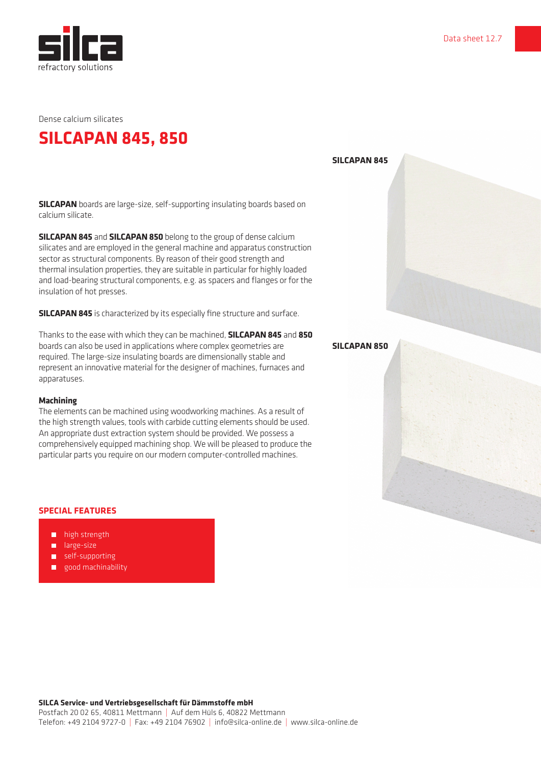

Dense calcium silicates

## **SILCAPAN 845, 850**

**SILCAPAN 845**

**SILCAPAN** boards are large-size, self-supporting insulating boards based on calcium silicate.

**SILCAPAN 845** and **SILCAPAN 850** belong to the group of dense calcium silicates and are employed in the general machine and apparatus construction sector as structural components. By reason of their good strength and thermal insulation properties, they are suitable in particular for highly loaded and load-bearing structural components, e.g. as spacers and flanges or for the insulation of hot presses.

**SILCAPAN 845** is characterized by its especially fine structure and surface.

Thanks to the ease with which they can be machined, **SILCAPAN 845** and **850** boards can also be used in applications where complex geometries are required. The large-size insulating boards are dimensionally stable and represent an innovative material for the designer of machines, furnaces and apparatuses.

## **Machining**

The elements can be machined using woodworking machines. As a result of the high strength values, tools with carbide cutting elements should be used. An appropriate dust extraction system should be provided. We possess a comprehensively equipped machining shop. We will be pleased to produce the particular parts you require on our modern computer-controlled machines.

## **SPECIAL FEATURES**

- **high strength**
- **large-size**
- self-supporting
- good machinability

**SILCAPAN 850**